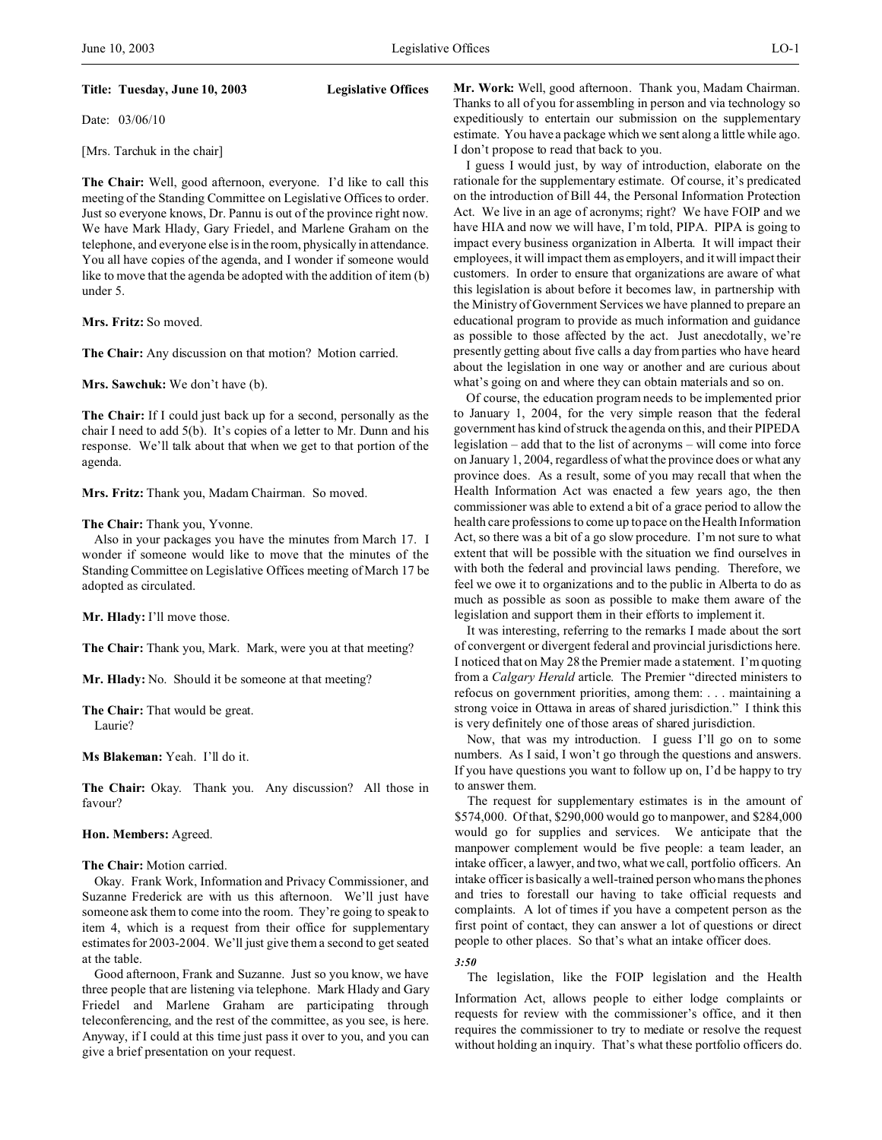### **Title: Tuesday, June 10, 2003 Legislative Offices**

Date: 03/06/10

[Mrs. Tarchuk in the chair]

**The Chair:** Well, good afternoon, everyone. I'd like to call this meeting of the Standing Committee on Legislative Offices to order. Just so everyone knows, Dr. Pannu is out of the province right now. We have Mark Hlady, Gary Friedel, and Marlene Graham on the telephone, and everyone else is in the room, physically in attendance. You all have copies of the agenda, and I wonder if someone would like to move that the agenda be adopted with the addition of item (b) under 5.

**Mrs. Fritz:** So moved.

**The Chair:** Any discussion on that motion? Motion carried.

**Mrs. Sawchuk:** We don't have (b).

**The Chair:** If I could just back up for a second, personally as the chair I need to add 5(b). It's copies of a letter to Mr. Dunn and his response. We'll talk about that when we get to that portion of the agenda.

**Mrs. Fritz:** Thank you, Madam Chairman. So moved.

## **The Chair:** Thank you, Yvonne.

Also in your packages you have the minutes from March 17. I wonder if someone would like to move that the minutes of the Standing Committee on Legislative Offices meeting of March 17 be adopted as circulated.

**Mr. Hlady:** I'll move those.

**The Chair:** Thank you, Mark. Mark, were you at that meeting?

**Mr. Hlady:** No. Should it be someone at that meeting?

**The Chair:** That would be great. Laurie?

**Ms Blakeman:** Yeah. I'll do it.

**The Chair:** Okay. Thank you. Any discussion? All those in favour?

#### **Hon. Members:** Agreed.

**The Chair:** Motion carried.

Okay. Frank Work, Information and Privacy Commissioner, and Suzanne Frederick are with us this afternoon. We'll just have someone ask them to come into the room. They're going to speak to item 4, which is a request from their office for supplementary estimates for 2003-2004. We'll just give them a second to get seated at the table.

Good afternoon, Frank and Suzanne. Just so you know, we have three people that are listening via telephone. Mark Hlady and Gary Friedel and Marlene Graham are participating through teleconferencing, and the rest of the committee, as you see, is here. Anyway, if I could at this time just pass it over to you, and you can give a brief presentation on your request.

**Mr. Work:** Well, good afternoon. Thank you, Madam Chairman. Thanks to all of you for assembling in person and via technology so expeditiously to entertain our submission on the supplementary estimate. You have a package which we sent along a little while ago. I don't propose to read that back to you.

I guess I would just, by way of introduction, elaborate on the rationale for the supplementary estimate. Of course, it's predicated on the introduction of Bill 44, the Personal Information Protection Act. We live in an age of acronyms; right? We have FOIP and we have HIA and now we will have, I'm told, PIPA. PIPA is going to impact every business organization in Alberta. It will impact their employees, it will impact them as employers, and it will impact their customers. In order to ensure that organizations are aware of what this legislation is about before it becomes law, in partnership with the Ministry of Government Services we have planned to prepare an educational program to provide as much information and guidance as possible to those affected by the act. Just anecdotally, we're presently getting about five calls a day from parties who have heard about the legislation in one way or another and are curious about what's going on and where they can obtain materials and so on.

Of course, the education program needs to be implemented prior to January 1, 2004, for the very simple reason that the federal government has kind of struck the agenda on this, and their PIPEDA legislation – add that to the list of acronyms – will come into force on January 1, 2004, regardless of what the province does or what any province does. As a result, some of you may recall that when the Health Information Act was enacted a few years ago, the then commissioner was able to extend a bit of a grace period to allow the health care professions to come up to pace on the Health Information Act, so there was a bit of a go slow procedure. I'm not sure to what extent that will be possible with the situation we find ourselves in with both the federal and provincial laws pending. Therefore, we feel we owe it to organizations and to the public in Alberta to do as much as possible as soon as possible to make them aware of the legislation and support them in their efforts to implement it.

It was interesting, referring to the remarks I made about the sort of convergent or divergent federal and provincial jurisdictions here. I noticed that on May 28 the Premier made a statement. I'm quoting from a *Calgary Herald* article. The Premier "directed ministers to refocus on government priorities, among them: . . . maintaining a strong voice in Ottawa in areas of shared jurisdiction." I think this is very definitely one of those areas of shared jurisdiction.

Now, that was my introduction. I guess I'll go on to some numbers. As I said, I won't go through the questions and answers. If you have questions you want to follow up on, I'd be happy to try to answer them.

The request for supplementary estimates is in the amount of \$574,000. Of that, \$290,000 would go to manpower, and \$284,000 would go for supplies and services. We anticipate that the manpower complement would be five people: a team leader, an intake officer, a lawyer, and two, what we call, portfolio officers. An intake officer is basically a well-trained person who mans the phones and tries to forestall our having to take official requests and complaints. A lot of times if you have a competent person as the first point of contact, they can answer a lot of questions or direct people to other places. So that's what an intake officer does.

*3:50*

The legislation, like the FOIP legislation and the Health Information Act, allows people to either lodge complaints or requests for review with the commissioner's office, and it then requires the commissioner to try to mediate or resolve the request without holding an inquiry. That's what these portfolio officers do.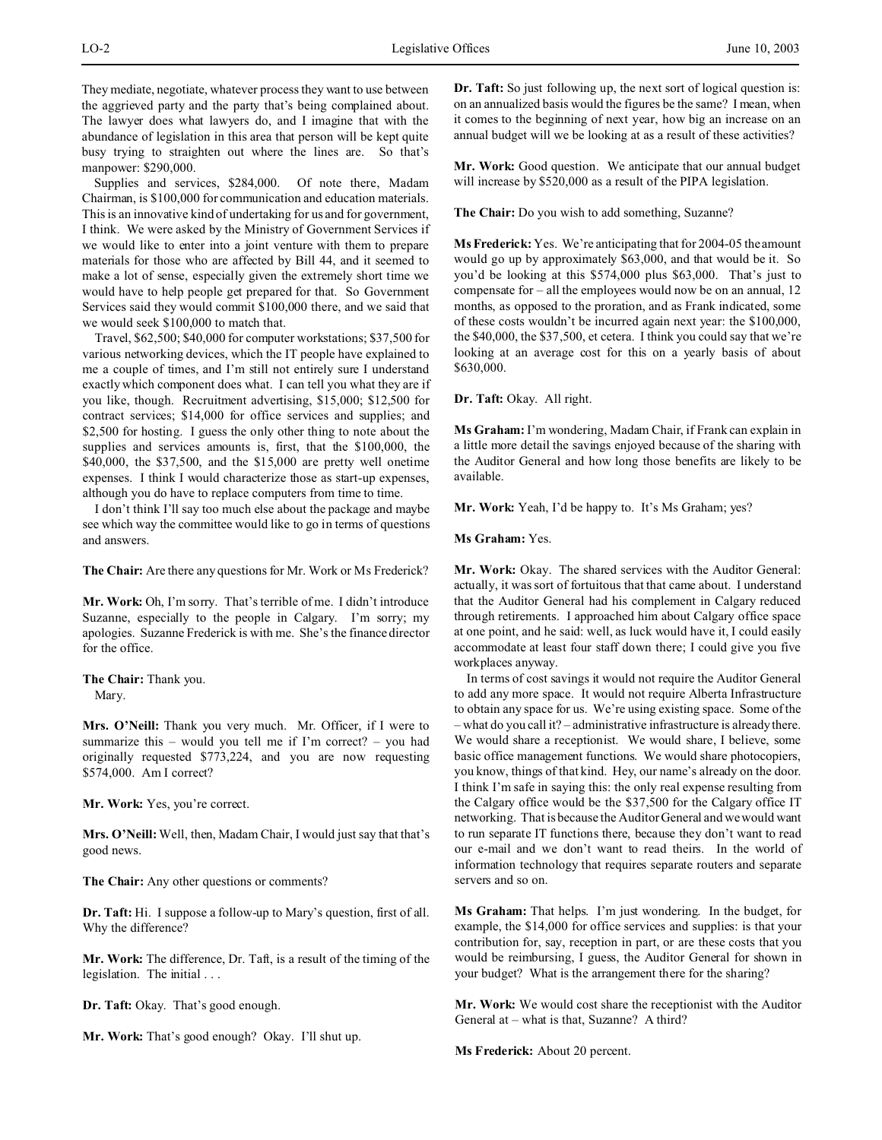Supplies and services, \$284,000. Of note there, Madam Chairman, is \$100,000 for communication and education materials. This is an innovative kind of undertaking for us and for government, I think. We were asked by the Ministry of Government Services if we would like to enter into a joint venture with them to prepare materials for those who are affected by Bill 44, and it seemed to make a lot of sense, especially given the extremely short time we would have to help people get prepared for that. So Government Services said they would commit \$100,000 there, and we said that we would seek \$100,000 to match that.

Travel, \$62,500; \$40,000 for computer workstations; \$37,500 for various networking devices, which the IT people have explained to me a couple of times, and I'm still not entirely sure I understand exactly which component does what. I can tell you what they are if you like, though. Recruitment advertising, \$15,000; \$12,500 for contract services; \$14,000 for office services and supplies; and \$2,500 for hosting. I guess the only other thing to note about the supplies and services amounts is, first, that the \$100,000, the \$40,000, the \$37,500, and the \$15,000 are pretty well onetime expenses. I think I would characterize those as start-up expenses, although you do have to replace computers from time to time.

I don't think I'll say too much else about the package and maybe see which way the committee would like to go in terms of questions and answers.

**The Chair:** Are there any questions for Mr. Work or Ms Frederick?

**Mr. Work:** Oh, I'm sorry. That's terrible of me. I didn't introduce Suzanne, especially to the people in Calgary. I'm sorry; my apologies. Suzanne Frederick is with me. She's the finance director for the office.

**The Chair:** Thank you. Mary.

**Mrs. O'Neill:** Thank you very much. Mr. Officer, if I were to summarize this – would you tell me if I'm correct? – you had originally requested \$773,224, and you are now requesting \$574,000. Am I correct?

**Mr. Work:** Yes, you're correct.

**Mrs. O'Neill:** Well, then, Madam Chair, I would just say that that's good news.

**The Chair:** Any other questions or comments?

**Dr. Taft:** Hi. I suppose a follow-up to Mary's question, first of all. Why the difference?

**Mr. Work:** The difference, Dr. Taft, is a result of the timing of the legislation. The initial . . .

**Dr. Taft:** Okay. That's good enough.

**Mr. Work:** That's good enough? Okay. I'll shut up.

**Dr. Taft:** So just following up, the next sort of logical question is: on an annualized basis would the figures be the same? I mean, when it comes to the beginning of next year, how big an increase on an annual budget will we be looking at as a result of these activities?

**Mr. Work:** Good question. We anticipate that our annual budget will increase by \$520,000 as a result of the PIPA legislation.

**The Chair:** Do you wish to add something, Suzanne?

**Ms Frederick:** Yes. We're anticipating that for 2004-05 the amount would go up by approximately \$63,000, and that would be it. So you'd be looking at this \$574,000 plus \$63,000. That's just to compensate for – all the employees would now be on an annual, 12 months, as opposed to the proration, and as Frank indicated, some of these costs wouldn't be incurred again next year: the \$100,000, the \$40,000, the \$37,500, et cetera. I think you could say that we're looking at an average cost for this on a yearly basis of about \$630,000.

**Dr. Taft:** Okay. All right.

**Ms Graham:** I'm wondering, Madam Chair, if Frank can explain in a little more detail the savings enjoyed because of the sharing with the Auditor General and how long those benefits are likely to be available.

**Mr. Work:** Yeah, I'd be happy to. It's Ms Graham; yes?

# **Ms Graham:** Yes.

**Mr. Work:** Okay. The shared services with the Auditor General: actually, it was sort of fortuitous that that came about. I understand that the Auditor General had his complement in Calgary reduced through retirements. I approached him about Calgary office space at one point, and he said: well, as luck would have it, I could easily accommodate at least four staff down there; I could give you five workplaces anyway.

In terms of cost savings it would not require the Auditor General to add any more space. It would not require Alberta Infrastructure to obtain any space for us. We're using existing space. Some of the – what do you call it? – administrative infrastructure is already there. We would share a receptionist. We would share, I believe, some basic office management functions. We would share photocopiers, you know, things of that kind. Hey, our name's already on the door. I think I'm safe in saying this: the only real expense resulting from the Calgary office would be the \$37,500 for the Calgary office IT networking. That is because the Auditor General and we would want to run separate IT functions there, because they don't want to read our e-mail and we don't want to read theirs. In the world of information technology that requires separate routers and separate servers and so on.

**Ms Graham:** That helps. I'm just wondering. In the budget, for example, the \$14,000 for office services and supplies: is that your contribution for, say, reception in part, or are these costs that you would be reimbursing, I guess, the Auditor General for shown in your budget? What is the arrangement there for the sharing?

**Mr. Work:** We would cost share the receptionist with the Auditor General at – what is that, Suzanne? A third?

**Ms Frederick:** About 20 percent.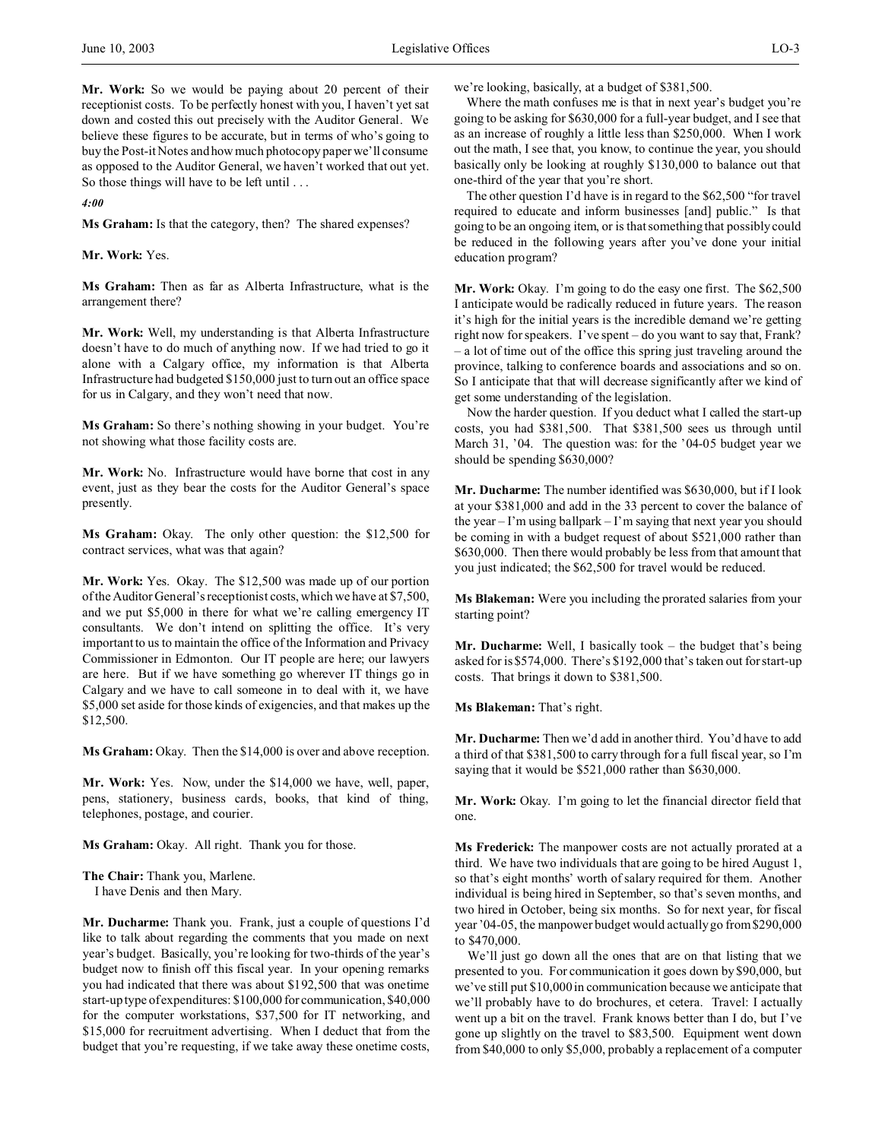**Mr. Work:** So we would be paying about 20 percent of their receptionist costs. To be perfectly honest with you, I haven't yet sat down and costed this out precisely with the Auditor General. We believe these figures to be accurate, but in terms of who's going to buy the Post-it Notes and how much photocopy paper we'll consume as opposed to the Auditor General, we haven't worked that out yet. So those things will have to be left until . . .

*4:00*

**Ms Graham:** Is that the category, then? The shared expenses?

**Mr. Work:** Yes.

**Ms Graham:** Then as far as Alberta Infrastructure, what is the arrangement there?

**Mr. Work:** Well, my understanding is that Alberta Infrastructure doesn't have to do much of anything now. If we had tried to go it alone with a Calgary office, my information is that Alberta Infrastructure had budgeted \$150,000 just to turn out an office space for us in Calgary, and they won't need that now.

**Ms Graham:** So there's nothing showing in your budget. You're not showing what those facility costs are.

**Mr. Work:** No. Infrastructure would have borne that cost in any event, just as they bear the costs for the Auditor General's space presently.

**Ms Graham:** Okay. The only other question: the \$12,500 for contract services, what was that again?

**Mr. Work:** Yes. Okay. The \$12,500 was made up of our portion of the Auditor General's receptionist costs, which we have at \$7,500, and we put \$5,000 in there for what we're calling emergency IT consultants. We don't intend on splitting the office. It's very important to us to maintain the office of the Information and Privacy Commissioner in Edmonton. Our IT people are here; our lawyers are here. But if we have something go wherever IT things go in Calgary and we have to call someone in to deal with it, we have \$5,000 set aside for those kinds of exigencies, and that makes up the \$12,500.

**Ms Graham:** Okay. Then the \$14,000 is over and above reception.

**Mr. Work:** Yes. Now, under the \$14,000 we have, well, paper, pens, stationery, business cards, books, that kind of thing, telephones, postage, and courier.

**Ms Graham:** Okay. All right. Thank you for those.

**The Chair:** Thank you, Marlene. I have Denis and then Mary.

**Mr. Ducharme:** Thank you. Frank, just a couple of questions I'd like to talk about regarding the comments that you made on next year's budget. Basically, you're looking for two-thirds of the year's budget now to finish off this fiscal year. In your opening remarks you had indicated that there was about \$192,500 that was onetime start-up type of expenditures: \$100,000 for communication, \$40,000 for the computer workstations, \$37,500 for IT networking, and \$15,000 for recruitment advertising. When I deduct that from the budget that you're requesting, if we take away these onetime costs,

we're looking, basically, at a budget of \$381,500.

Where the math confuses me is that in next year's budget you're going to be asking for \$630,000 for a full-year budget, and I see that as an increase of roughly a little less than \$250,000. When I work out the math, I see that, you know, to continue the year, you should basically only be looking at roughly \$130,000 to balance out that one-third of the year that you're short.

The other question I'd have is in regard to the \$62,500 "for travel required to educate and inform businesses [and] public." Is that going to be an ongoing item, or is that something that possibly could be reduced in the following years after you've done your initial education program?

**Mr. Work:** Okay. I'm going to do the easy one first. The \$62,500 I anticipate would be radically reduced in future years. The reason it's high for the initial years is the incredible demand we're getting right now for speakers. I've spent – do you want to say that, Frank? – a lot of time out of the office this spring just traveling around the province, talking to conference boards and associations and so on. So I anticipate that that will decrease significantly after we kind of get some understanding of the legislation.

Now the harder question. If you deduct what I called the start-up costs, you had \$381,500. That \$381,500 sees us through until March 31, '04. The question was: for the '04-05 budget year we should be spending \$630,000?

**Mr. Ducharme:** The number identified was \$630,000, but if I look at your \$381,000 and add in the 33 percent to cover the balance of the year – I'm using ballpark – I'm saying that next year you should be coming in with a budget request of about \$521,000 rather than \$630,000. Then there would probably be less from that amount that you just indicated; the \$62,500 for travel would be reduced.

**Ms Blakeman:** Were you including the prorated salaries from your starting point?

**Mr. Ducharme:** Well, I basically took – the budget that's being asked for is \$574,000. There's \$192,000 that's taken out for start-up costs. That brings it down to \$381,500.

**Ms Blakeman:** That's right.

**Mr. Ducharme:** Then we'd add in another third. You'd have to add a third of that \$381,500 to carry through for a full fiscal year, so I'm saying that it would be \$521,000 rather than \$630,000.

**Mr. Work:** Okay. I'm going to let the financial director field that one.

**Ms Frederick:** The manpower costs are not actually prorated at a third. We have two individuals that are going to be hired August 1, so that's eight months' worth of salary required for them. Another individual is being hired in September, so that's seven months, and two hired in October, being six months. So for next year, for fiscal year '04-05, the manpower budget would actually go from \$290,000 to \$470,000.

We'll just go down all the ones that are on that listing that we presented to you. For communication it goes down by \$90,000, but we've still put \$10,000 in communication because we anticipate that we'll probably have to do brochures, et cetera. Travel: I actually went up a bit on the travel. Frank knows better than I do, but I've gone up slightly on the travel to \$83,500. Equipment went down from \$40,000 to only \$5,000, probably a replacement of a computer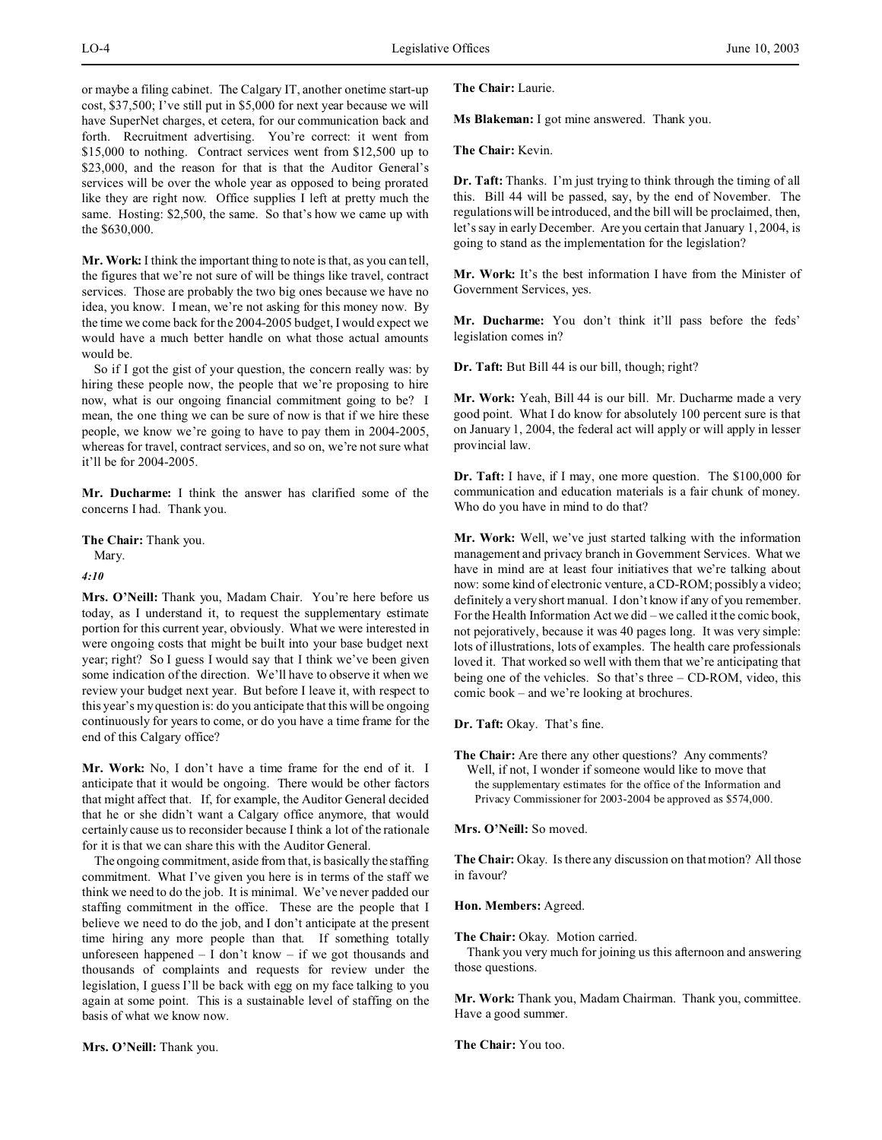or maybe a filing cabinet. The Calgary IT, another onetime start-up cost, \$37,500; I've still put in \$5,000 for next year because we will have SuperNet charges, et cetera, for our communication back and forth. Recruitment advertising. You're correct: it went from \$15,000 to nothing. Contract services went from \$12,500 up to \$23,000, and the reason for that is that the Auditor General's services will be over the whole year as opposed to being prorated like they are right now. Office supplies I left at pretty much the same. Hosting: \$2,500, the same. So that's how we came up with the \$630,000.

**Mr. Work:** I think the important thing to note is that, as you can tell, the figures that we're not sure of will be things like travel, contract services. Those are probably the two big ones because we have no idea, you know. I mean, we're not asking for this money now. By the time we come back for the 2004-2005 budget, I would expect we would have a much better handle on what those actual amounts would be.

So if I got the gist of your question, the concern really was: by hiring these people now, the people that we're proposing to hire now, what is our ongoing financial commitment going to be? I mean, the one thing we can be sure of now is that if we hire these people, we know we're going to have to pay them in 2004-2005, whereas for travel, contract services, and so on, we're not sure what it'll be for 2004-2005.

**Mr. Ducharme:** I think the answer has clarified some of the concerns I had. Thank you.

**The Chair:** Thank you. Mary.

*4:10*

Mrs. O'Neill: Thank you, Madam Chair. You're here before us today, as I understand it, to request the supplementary estimate portion for this current year, obviously. What we were interested in were ongoing costs that might be built into your base budget next year; right? So I guess I would say that I think we've been given some indication of the direction. We'll have to observe it when we review your budget next year. But before I leave it, with respect to this year's my question is: do you anticipate that this will be ongoing continuously for years to come, or do you have a time frame for the end of this Calgary office?

**Mr. Work:** No, I don't have a time frame for the end of it. I anticipate that it would be ongoing. There would be other factors that might affect that. If, for example, the Auditor General decided that he or she didn't want a Calgary office anymore, that would certainly cause us to reconsider because I think a lot of the rationale for it is that we can share this with the Auditor General.

The ongoing commitment, aside from that, is basically the staffing commitment. What I've given you here is in terms of the staff we think we need to do the job. It is minimal. We've never padded our staffing commitment in the office. These are the people that I believe we need to do the job, and I don't anticipate at the present time hiring any more people than that. If something totally unforeseen happened – I don't know – if we got thousands and thousands of complaints and requests for review under the legislation, I guess I'll be back with egg on my face talking to you again at some point. This is a sustainable level of staffing on the basis of what we know now.

**Mrs. O'Neill:** Thank you.

**The Chair:** Laurie.

**Ms Blakeman:** I got mine answered. Thank you.

**The Chair:** Kevin.

**Dr. Taft:** Thanks. I'm just trying to think through the timing of all this. Bill 44 will be passed, say, by the end of November. The regulations will be introduced, and the bill will be proclaimed, then, let's say in early December. Are you certain that January 1, 2004, is going to stand as the implementation for the legislation?

**Mr. Work:** It's the best information I have from the Minister of Government Services, yes.

**Mr. Ducharme:** You don't think it'll pass before the feds' legislation comes in?

**Dr. Taft:** But Bill 44 is our bill, though; right?

**Mr. Work:** Yeah, Bill 44 is our bill. Mr. Ducharme made a very good point. What I do know for absolutely 100 percent sure is that on January 1, 2004, the federal act will apply or will apply in lesser provincial law.

**Dr. Taft:** I have, if I may, one more question. The \$100,000 for communication and education materials is a fair chunk of money. Who do you have in mind to do that?

**Mr. Work:** Well, we've just started talking with the information management and privacy branch in Government Services. What we have in mind are at least four initiatives that we're talking about now: some kind of electronic venture, a CD-ROM; possibly a video; definitely a very short manual. I don't know if any of you remember. For the Health Information Act we did – we called it the comic book, not pejoratively, because it was 40 pages long. It was very simple: lots of illustrations, lots of examples. The health care professionals loved it. That worked so well with them that we're anticipating that being one of the vehicles. So that's three – CD-ROM, video, this comic book – and we're looking at brochures.

**Dr. Taft:** Okay. That's fine.

**The Chair:** Are there any other questions? Any comments? Well, if not, I wonder if someone would like to move that the supplementary estimates for the office of the Information and Privacy Commissioner for 2003-2004 be approved as \$574,000.

**Mrs. O'Neill:** So moved.

The Chair: Okay. Is there any discussion on that motion? All those in favour?

**Hon. Members:** Agreed.

**The Chair:** Okay. Motion carried.

Thank you very much for joining us this afternoon and answering those questions.

**Mr. Work:** Thank you, Madam Chairman. Thank you, committee. Have a good summer.

**The Chair:** You too.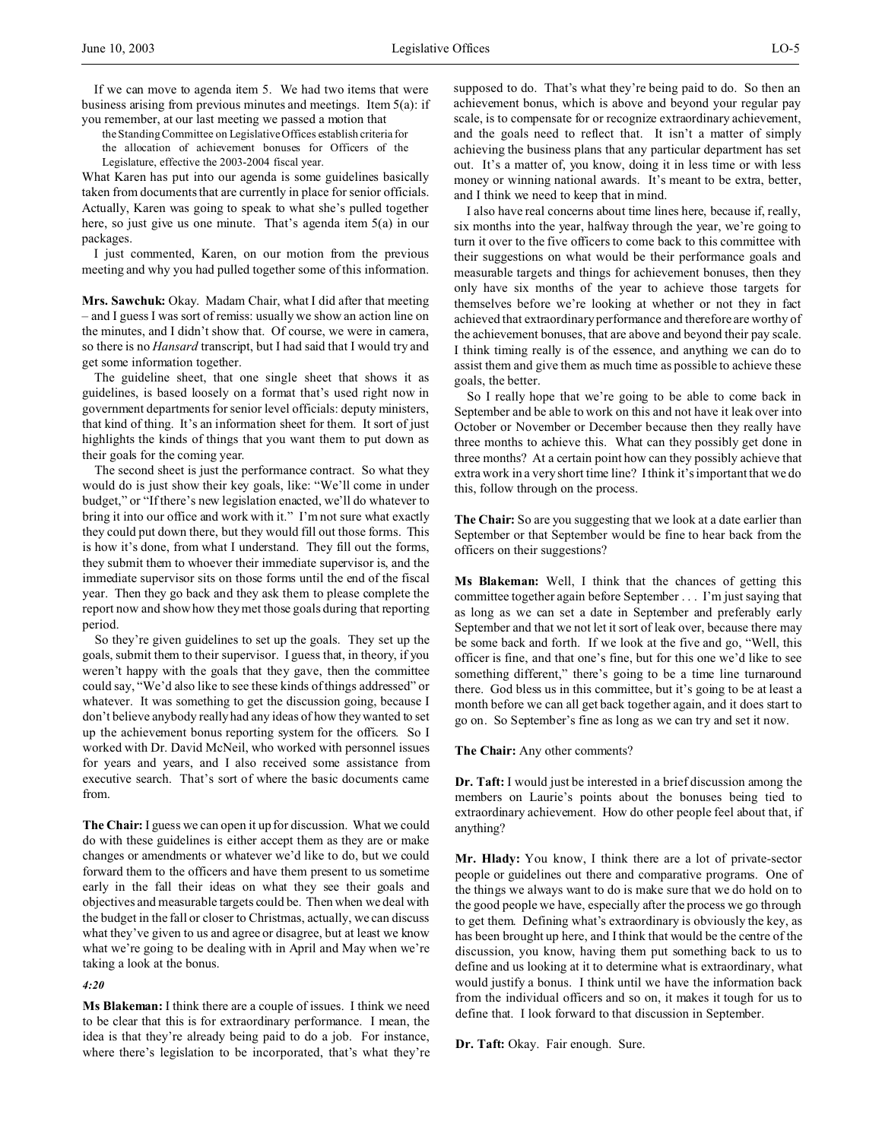If we can move to agenda item 5. We had two items that were business arising from previous minutes and meetings. Item 5(a): if you remember, at our last meeting we passed a motion that

the Standing Committee on Legislative Offices establish criteria for the allocation of achievement bonuses for Officers of the

Legislature, effective the 2003-2004 fiscal year.

What Karen has put into our agenda is some guidelines basically taken from documents that are currently in place for senior officials. Actually, Karen was going to speak to what she's pulled together here, so just give us one minute. That's agenda item 5(a) in our packages.

I just commented, Karen, on our motion from the previous meeting and why you had pulled together some of this information.

**Mrs. Sawchuk:** Okay. Madam Chair, what I did after that meeting – and I guess I was sort of remiss: usually we show an action line on the minutes, and I didn't show that. Of course, we were in camera, so there is no *Hansard* transcript, but I had said that I would try and get some information together.

The guideline sheet, that one single sheet that shows it as guidelines, is based loosely on a format that's used right now in government departments for senior level officials: deputy ministers, that kind of thing. It's an information sheet for them. It sort of just highlights the kinds of things that you want them to put down as their goals for the coming year.

The second sheet is just the performance contract. So what they would do is just show their key goals, like: "We'll come in under budget," or "If there's new legislation enacted, we'll do whatever to bring it into our office and work with it." I'm not sure what exactly they could put down there, but they would fill out those forms. This is how it's done, from what I understand. They fill out the forms, they submit them to whoever their immediate supervisor is, and the immediate supervisor sits on those forms until the end of the fiscal year. Then they go back and they ask them to please complete the report now and show how they met those goals during that reporting period.

So they're given guidelines to set up the goals. They set up the goals, submit them to their supervisor. I guess that, in theory, if you weren't happy with the goals that they gave, then the committee could say, "We'd also like to see these kinds of things addressed" or whatever. It was something to get the discussion going, because I don't believe anybody really had any ideas of how they wanted to set up the achievement bonus reporting system for the officers. So I worked with Dr. David McNeil, who worked with personnel issues for years and years, and I also received some assistance from executive search. That's sort of where the basic documents came from.

**The Chair:** I guess we can open it up for discussion. What we could do with these guidelines is either accept them as they are or make changes or amendments or whatever we'd like to do, but we could forward them to the officers and have them present to us sometime early in the fall their ideas on what they see their goals and objectives and measurable targets could be. Then when we deal with the budget in the fall or closer to Christmas, actually, we can discuss what they've given to us and agree or disagree, but at least we know what we're going to be dealing with in April and May when we're taking a look at the bonus.

*4:20*

**Ms Blakeman:** I think there are a couple of issues. I think we need to be clear that this is for extraordinary performance. I mean, the idea is that they're already being paid to do a job. For instance, where there's legislation to be incorporated, that's what they're

supposed to do. That's what they're being paid to do. So then an achievement bonus, which is above and beyond your regular pay scale, is to compensate for or recognize extraordinary achievement, and the goals need to reflect that. It isn't a matter of simply achieving the business plans that any particular department has set out. It's a matter of, you know, doing it in less time or with less money or winning national awards. It's meant to be extra, better, and I think we need to keep that in mind.

I also have real concerns about time lines here, because if, really, six months into the year, halfway through the year, we're going to turn it over to the five officers to come back to this committee with their suggestions on what would be their performance goals and measurable targets and things for achievement bonuses, then they only have six months of the year to achieve those targets for themselves before we're looking at whether or not they in fact achieved that extraordinary performance and therefore are worthy of the achievement bonuses, that are above and beyond their pay scale. I think timing really is of the essence, and anything we can do to assist them and give them as much time as possible to achieve these goals, the better.

So I really hope that we're going to be able to come back in September and be able to work on this and not have it leak over into October or November or December because then they really have three months to achieve this. What can they possibly get done in three months? At a certain point how can they possibly achieve that extra work in a very short time line? I think it's important that we do this, follow through on the process.

**The Chair:** So are you suggesting that we look at a date earlier than September or that September would be fine to hear back from the officers on their suggestions?

**Ms Blakeman:** Well, I think that the chances of getting this committee together again before September . . . I'm just saying that as long as we can set a date in September and preferably early September and that we not let it sort of leak over, because there may be some back and forth. If we look at the five and go, "Well, this officer is fine, and that one's fine, but for this one we'd like to see something different," there's going to be a time line turnaround there. God bless us in this committee, but it's going to be at least a month before we can all get back together again, and it does start to go on. So September's fine as long as we can try and set it now.

## **The Chair:** Any other comments?

**Dr. Taft:** I would just be interested in a brief discussion among the members on Laurie's points about the bonuses being tied to extraordinary achievement. How do other people feel about that, if anything?

**Mr. Hlady:** You know, I think there are a lot of private-sector people or guidelines out there and comparative programs. One of the things we always want to do is make sure that we do hold on to the good people we have, especially after the process we go through to get them. Defining what's extraordinary is obviously the key, as has been brought up here, and I think that would be the centre of the discussion, you know, having them put something back to us to define and us looking at it to determine what is extraordinary, what would justify a bonus. I think until we have the information back from the individual officers and so on, it makes it tough for us to define that. I look forward to that discussion in September.

Dr. Taft: Okay. Fair enough. Sure.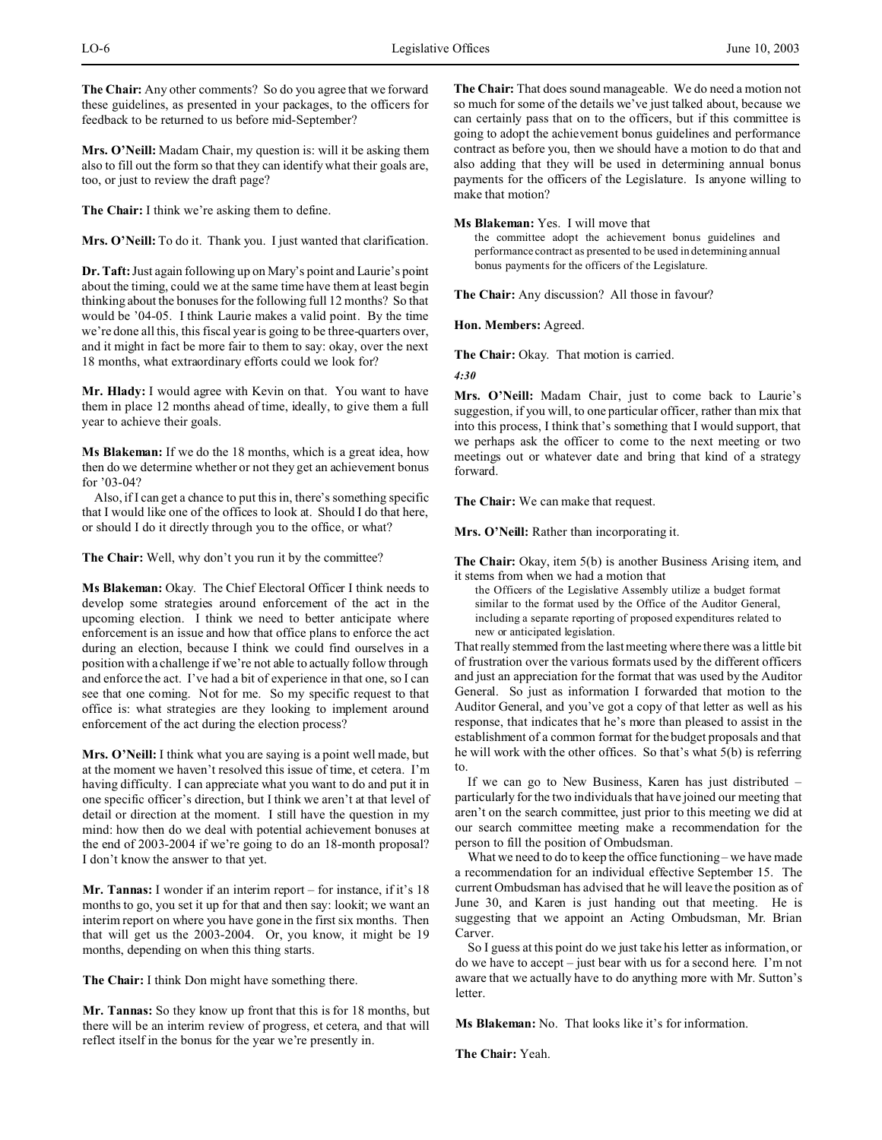**The Chair:** Any other comments? So do you agree that we forward these guidelines, as presented in your packages, to the officers for feedback to be returned to us before mid-September?

**Mrs. O'Neill:** Madam Chair, my question is: will it be asking them also to fill out the form so that they can identify what their goals are, too, or just to review the draft page?

**The Chair:** I think we're asking them to define.

**Mrs. O'Neill:** To do it. Thank you. I just wanted that clarification.

**Dr. Taft:** Just again following up on Mary's point and Laurie's point about the timing, could we at the same time have them at least begin thinking about the bonuses for the following full 12 months? So that would be '04-05. I think Laurie makes a valid point. By the time we're done all this, this fiscal year is going to be three-quarters over, and it might in fact be more fair to them to say: okay, over the next 18 months, what extraordinary efforts could we look for?

**Mr. Hlady:** I would agree with Kevin on that. You want to have them in place 12 months ahead of time, ideally, to give them a full year to achieve their goals.

**Ms Blakeman:** If we do the 18 months, which is a great idea, how then do we determine whether or not they get an achievement bonus for '03-04?

Also, if I can get a chance to put this in, there's something specific that I would like one of the offices to look at. Should I do that here, or should I do it directly through you to the office, or what?

**The Chair:** Well, why don't you run it by the committee?

**Ms Blakeman:** Okay. The Chief Electoral Officer I think needs to develop some strategies around enforcement of the act in the upcoming election. I think we need to better anticipate where enforcement is an issue and how that office plans to enforce the act during an election, because I think we could find ourselves in a position with a challenge if we're not able to actually follow through and enforce the act. I've had a bit of experience in that one, so I can see that one coming. Not for me. So my specific request to that office is: what strategies are they looking to implement around enforcement of the act during the election process?

**Mrs. O'Neill:** I think what you are saying is a point well made, but at the moment we haven't resolved this issue of time, et cetera. I'm having difficulty. I can appreciate what you want to do and put it in one specific officer's direction, but I think we aren't at that level of detail or direction at the moment. I still have the question in my mind: how then do we deal with potential achievement bonuses at the end of 2003-2004 if we're going to do an 18-month proposal? I don't know the answer to that yet.

**Mr. Tannas:** I wonder if an interim report – for instance, if it's 18 months to go, you set it up for that and then say: lookit; we want an interim report on where you have gone in the first six months. Then that will get us the 2003-2004. Or, you know, it might be 19 months, depending on when this thing starts.

**The Chair:** I think Don might have something there.

**Mr. Tannas:** So they know up front that this is for 18 months, but there will be an interim review of progress, et cetera, and that will reflect itself in the bonus for the year we're presently in.

**The Chair:** That does sound manageable. We do need a motion not so much for some of the details we've just talked about, because we can certainly pass that on to the officers, but if this committee is going to adopt the achievement bonus guidelines and performance contract as before you, then we should have a motion to do that and also adding that they will be used in determining annual bonus payments for the officers of the Legislature. Is anyone willing to make that motion?

**Ms Blakeman:** Yes. I will move that

the committee adopt the achievement bonus guidelines and performance contract as presented to be used in determining annual bonus payments for the officers of the Legislature.

**The Chair:** Any discussion? All those in favour?

**Hon. Members:** Agreed.

**The Chair:** Okay. That motion is carried.

*4:30*

**Mrs. O'Neill:** Madam Chair, just to come back to Laurie's suggestion, if you will, to one particular officer, rather than mix that into this process, I think that's something that I would support, that we perhaps ask the officer to come to the next meeting or two meetings out or whatever date and bring that kind of a strategy forward.

**The Chair:** We can make that request.

**Mrs. O'Neill:** Rather than incorporating it.

**The Chair:** Okay, item 5(b) is another Business Arising item, and it stems from when we had a motion that

the Officers of the Legislative Assembly utilize a budget format similar to the format used by the Office of the Auditor General, including a separate reporting of proposed expenditures related to new or anticipated legislation.

That really stemmed from the last meeting where there was a little bit of frustration over the various formats used by the different officers and just an appreciation for the format that was used by the Auditor General. So just as information I forwarded that motion to the Auditor General, and you've got a copy of that letter as well as his response, that indicates that he's more than pleased to assist in the establishment of a common format for the budget proposals and that he will work with the other offices. So that's what 5(b) is referring to.

If we can go to New Business, Karen has just distributed – particularly for the two individuals that have joined our meeting that aren't on the search committee, just prior to this meeting we did at our search committee meeting make a recommendation for the person to fill the position of Ombudsman.

What we need to do to keep the office functioning – we have made a recommendation for an individual effective September 15. The current Ombudsman has advised that he will leave the position as of June 30, and Karen is just handing out that meeting. He is suggesting that we appoint an Acting Ombudsman, Mr. Brian Carver.

So I guess at this point do we just take his letter as information, or do we have to accept – just bear with us for a second here. I'm not aware that we actually have to do anything more with Mr. Sutton's letter.

**Ms Blakeman:** No. That looks like it's for information.

**The Chair:** Yeah.